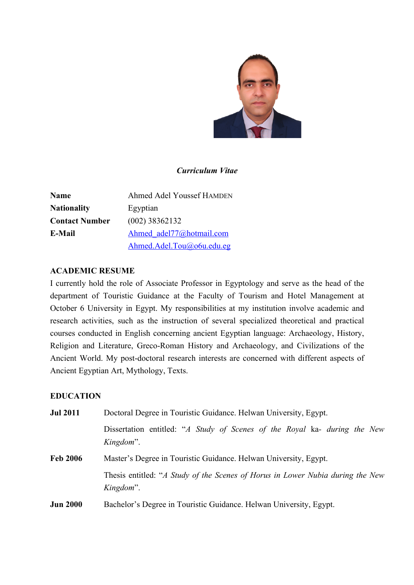

## *Curriculum Vitae*

| <b>Name</b>           | <b>Ahmed Adel Youssef HAMDEN</b> |
|-----------------------|----------------------------------|
| <b>Nationality</b>    | Egyptian                         |
| <b>Contact Number</b> | $(002)$ 38362132                 |
| E-Mail                | Ahmed adel77@hotmail.com         |
|                       | Ahmed.Adel.Tou@o6u.edu.eg        |

## **ACADEMIC RESUME**

I currently hold the role of Associate Professor in Egyptology and serve as the head of the department of Touristic Guidance at the Faculty of Tourism and Hotel Management at October 6 University in Egypt. My responsibilities at my institution involve academic and research activities, such as the instruction of several specialized theoretical and practical courses conducted in English concerning ancient Egyptian language: Archaeology, History, Religion and Literature, Greco-Roman History and Archaeology, and Civilizations of the Ancient World. My post-doctoral research interests are concerned with different aspects of Ancient Egyptian Art, Mythology, Texts.

## **EDUCATION**

| <b>Jul 2011</b> | Doctoral Degree in Touristic Guidance. Helwan University, Egypt.                            |  |
|-----------------|---------------------------------------------------------------------------------------------|--|
|                 | Dissertation entitled: "A Study of Scenes of the Royal ka- during the New<br>Kingdom".      |  |
| <b>Feb 2006</b> | Master's Degree in Touristic Guidance. Helwan University, Egypt.                            |  |
|                 | Thesis entitled: "A Study of the Scenes of Horus in Lower Nubia during the New<br>Kingdom". |  |
| <b>Jun 2000</b> | Bachelor's Degree in Touristic Guidance. Helwan University, Egypt.                          |  |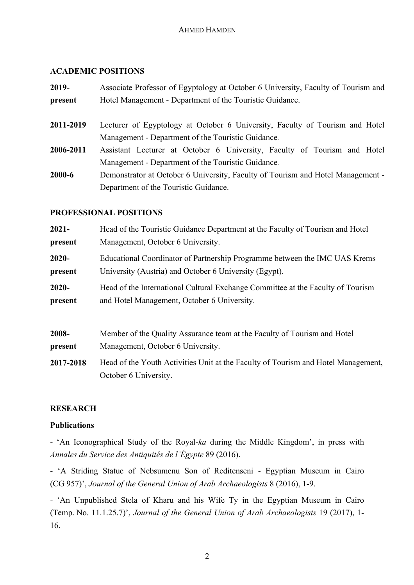## **ACADEMIC POSITIONS**

| 2019-     | Associate Professor of Egyptology at October 6 University, Faculty of Tourism and |
|-----------|-----------------------------------------------------------------------------------|
| present   | Hotel Management - Department of the Touristic Guidance.                          |
| 2011-2019 | Lecturer of Egyptology at October 6 University, Faculty of Tourism and Hotel      |
|           | Management - Department of the Touristic Guidance.                                |
| 2006-2011 | Assistant Lecturer at October 6 University, Faculty of Tourism and Hotel          |
|           | Management - Department of the Touristic Guidance.                                |
| 2000-6    | Demonstrator at October 6 University, Faculty of Tourism and Hotel Management -   |
|           | Department of the Touristic Guidance.                                             |

## **PROFESSIONAL POSITIONS**

October 6 University.

| $2021 -$ | Head of the Touristic Guidance Department at the Faculty of Tourism and Hotel   |
|----------|---------------------------------------------------------------------------------|
| present  | Management, October 6 University.                                               |
| $2020 -$ | Educational Coordinator of Partnership Programme between the IMC UAS Krems      |
| present  | University (Austria) and October 6 University (Egypt).                          |
| $2020 -$ | Head of the International Cultural Exchange Committee at the Faculty of Tourism |
| present  | and Hotel Management, October 6 University.                                     |

| 2008-     | Member of the Quality Assurance team at the Faculty of Tourism and Hotel          |
|-----------|-----------------------------------------------------------------------------------|
| present   | Management, October 6 University.                                                 |
| 2017-2018 | Head of the Youth Activities Unit at the Faculty of Tourism and Hotel Management, |

# **RESEARCH**

## **Publications**

- 'An Iconographical Study of the Royal-*ka* during the Middle Kingdom', in press with *Annales du Service des Antiquités de l'Égypte* 89 (2016).

- 'A Striding Statue of Nebsumenu Son of Reditenseni - Egyptian Museum in Cairo (CG 957)', *Journal of the General Union of Arab Archaeologists* 8 (2016), 1-9.

*-* 'An Unpublished Stela of Kharu and his Wife Ty in the Egyptian Museum in Cairo (Temp. No. 11.1.25.7)', *Journal of the General Union of Arab Archaeologists* 19 (2017), 1- 16.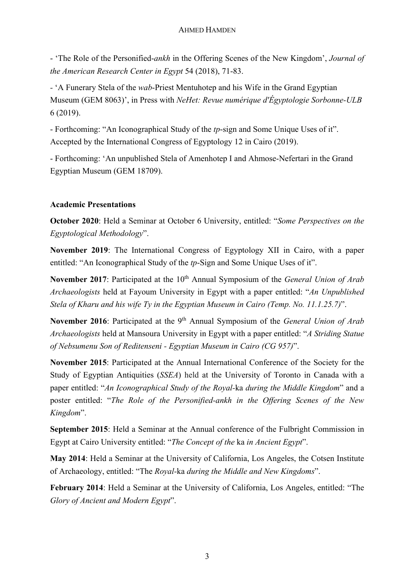### AHMED HAMDEN

- 'The Role of the Personified-*ankh* in the Offering Scenes of the New Kingdom', *Journal of the American Research Center in Egypt* 54 (2018), 71-83.

*-* 'A Funerary Stela of the *wab*-Priest Mentuhotep and his Wife in the Grand Egyptian Museum (GEM 8063)', in Press with *NeHet: Revue numérique d'Égyptologie Sorbonne-ULB*  6 (2019).

- Forthcoming: "An Iconographical Study of the *tp*-sign and Some Unique Uses of it". Accepted by the International Congress of Egyptology 12 in Cairo (2019).

- Forthcoming: 'An unpublished Stela of Amenhotep I and Ahmose-Nefertari in the Grand Egyptian Museum (GEM 18709).

## **Academic Presentations**

**October 2020**: Held a Seminar at October 6 University, entitled: "*Some Perspectives on the Egyptological Methodology*".

**November 2019**: The International Congress of Egyptology XII in Cairo, with a paper entitled: "An Iconographical Study of the *tp*-Sign and Some Unique Uses of it".

**November 2017**: Participated at the 10<sup>th</sup> Annual Symposium of the *General Union of Arab Archaeologists* held at Fayoum University in Egypt with a paper entitled: "*An Unpublished Stela of Kharu and his wife Ty in the Egyptian Museum in Cairo (Temp. No. 11.1.25.7)*".

**November 2016**: Participated at the 9th Annual Symposium of the *General Union of Arab Archaeologists* held at Mansoura University in Egypt with a paper entitled: "*A Striding Statue of Nebsumenu Son of Reditenseni - Egyptian Museum in Cairo (CG 957)*".

**November 2015**: Participated at the Annual International Conference of the Society for the Study of Egyptian Antiquities (*SSEA*) held at the University of Toronto in Canada with a paper entitled: "*An Iconographical Study of the Royal-*ka *during the Middle Kingdom*" and a poster entitled: "*The Role of the Personified-ankh in the Offering Scenes of the New Kingdom*".

**September 2015**: Held a Seminar at the Annual conference of the Fulbright Commission in Egypt at Cairo University entitled: "*The Concept of the* ka *in Ancient Egypt*".

**May 2014**: Held a Seminar at the University of California, Los Angeles, the Cotsen Institute of Archaeology, entitled: "The *Royal-*ka *during the Middle and New Kingdoms*".

**February 2014**: Held a Seminar at the University of California, Los Angeles, entitled: "The *Glory of Ancient and Modern Egypt*".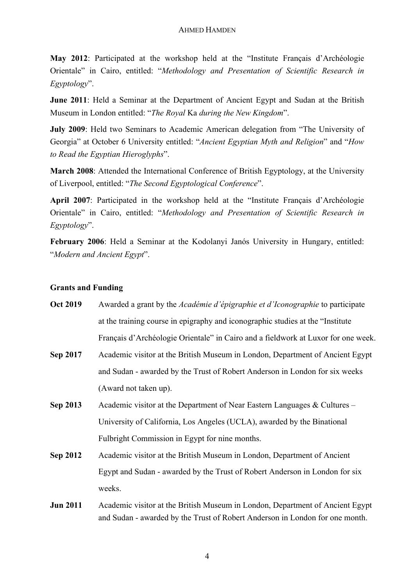**May 2012**: Participated at the workshop held at the "Institute Français d'Archéologie Orientale" in Cairo, entitled: "*Methodology and Presentation of Scientific Research in Egyptology*".

**June 2011**: Held a Seminar at the Department of Ancient Egypt and Sudan at the British Museum in London entitled: "*The Royal* Ka *during the New Kingdom*".

**July 2009**: Held two Seminars to Academic American delegation from "The University of Georgia" at October 6 University entitled: "*Ancient Egyptian Myth and Religion*" and "*How to Read the Egyptian Hieroglyphs*".

**March 2008**: Attended the International Conference of British Egyptology, at the University of Liverpool, entitled: "*The Second Egyptological Conference*".

**April 2007**: Participated in the workshop held at the "Institute Français d'Archéologie Orientale" in Cairo, entitled: "*Methodology and Presentation of Scientific Research in Egyptology*".

**February 2006**: Held a Seminar at the Kodolanyi Janós University in Hungary, entitled: "*Modern and Ancient Egypt*".

### **Grants and Funding**

- **Oct 2019** Awarded a grant by the *Académie d'épigraphie et d'Iconographie* to participate at the training course in epigraphy and iconographic studies at the "Institute Français d'Archéologie Orientale" in Cairo and a fieldwork at Luxor for one week.
- **Sep 2017** Academic visitor at the British Museum in London, Department of Ancient Egypt and Sudan - awarded by the Trust of Robert Anderson in London for six weeks (Award not taken up).
- **Sep 2013** Academic visitor at the Department of Near Eastern Languages & Cultures University of California, Los Angeles (UCLA), awarded by the Binational Fulbright Commission in Egypt for nine months.
- **Sep 2012** Academic visitor at the British Museum in London, Department of Ancient Egypt and Sudan - awarded by the Trust of Robert Anderson in London for six weeks.
- **Jun 2011** Academic visitor at the British Museum in London, Department of Ancient Egypt and Sudan - awarded by the Trust of Robert Anderson in London for one month.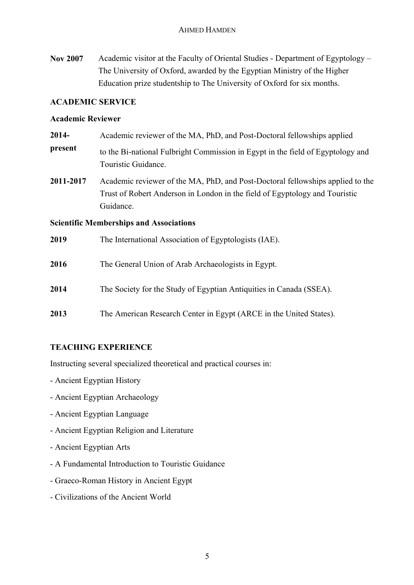**Nov 2007** Academic visitor at the Faculty of Oriental Studies - Department of Egyptology – The University of Oxford, awarded by the Egyptian Ministry of the Higher Education prize studentship to The University of Oxford for six months.

### **ACADEMIC SERVICE**

### **Academic Reviewer**

- **2014 present** Academic reviewer of the MA, PhD, and Post-Doctoral fellowships applied to the Bi-national Fulbright Commission in Egypt in the field of Egyptology and Touristic Guidance.
- **2011-2017** Academic reviewer of the MA, PhD, and Post-Doctoral fellowships applied to the Trust of Robert Anderson in London in the field of Egyptology and Touristic Guidance.

**Scientific Memberships and Associations**

| 2019 | The International Association of Egyptologists (IAE). |
|------|-------------------------------------------------------|
|------|-------------------------------------------------------|

- **2016** The General Union of Arab Archaeologists in Egypt.
- **2014** The Society for the Study of Egyptian Antiquities in Canada (SSEA).
- **2013** The American Research Center in Egypt (ARCE in the United States).

# **TEACHING EXPERIENCE**

Instructing several specialized theoretical and practical courses in:

- Ancient Egyptian History
- Ancient Egyptian Archaeology
- Ancient Egyptian Language
- Ancient Egyptian Religion and Literature
- Ancient Egyptian Arts
- A Fundamental Introduction to Touristic Guidance
- Graeco-Roman History in Ancient Egypt
- Civilizations of the Ancient World